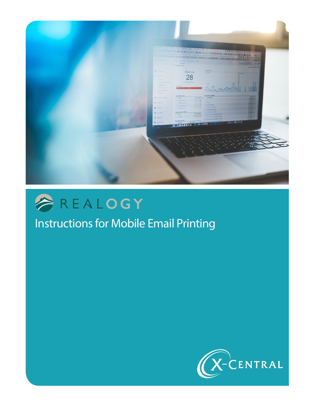



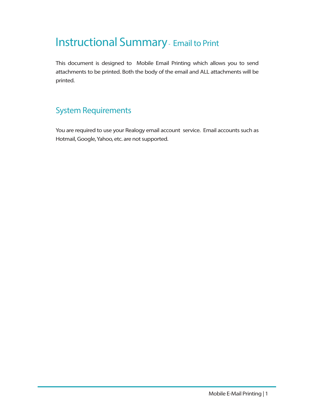## Instructional Summary - Email to Print

This document is designed to Mobile Email Printing which allows you to send attachments to be printed. Both the body of the email and ALL attachments will be printed.

## System Requirements

You are required to use your Realogy email account service. Email accounts such as Hotmail, Google, Yahoo, etc. are not supported.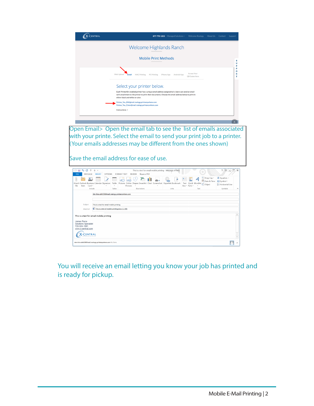

You will receive an email letting you know your job has printed and is ready for pickup.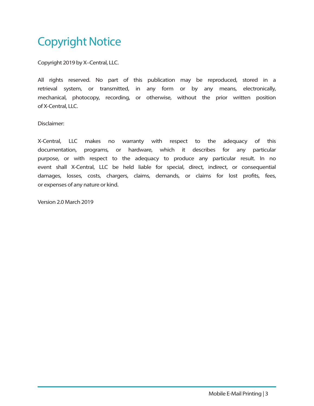## Copyright Notice

Copyright 2019 by X–Central, LLC.

All rights reserved. No part of this publication may be reproduced, stored in a retrieval system, or transmitted, in any form or by any means, electronically, mechanical, photocopy, recording, or otherwise, without the prior written position of X-Central, LLC.

Disclaimer:

X-Central, LLC makes no warranty with respect to the adequacy of this documentation, programs, or hardware, which it describes for any particular purpose, or with respect to the adequacy to produce any particular result. In no event shall X-Central, LLC be held liable for special, direct, indirect, or consequential damages, losses, costs, chargers, claims, demands, or claims for lost profits, fees, or expenses of any nature or kind.

Version 2.0 March 2019